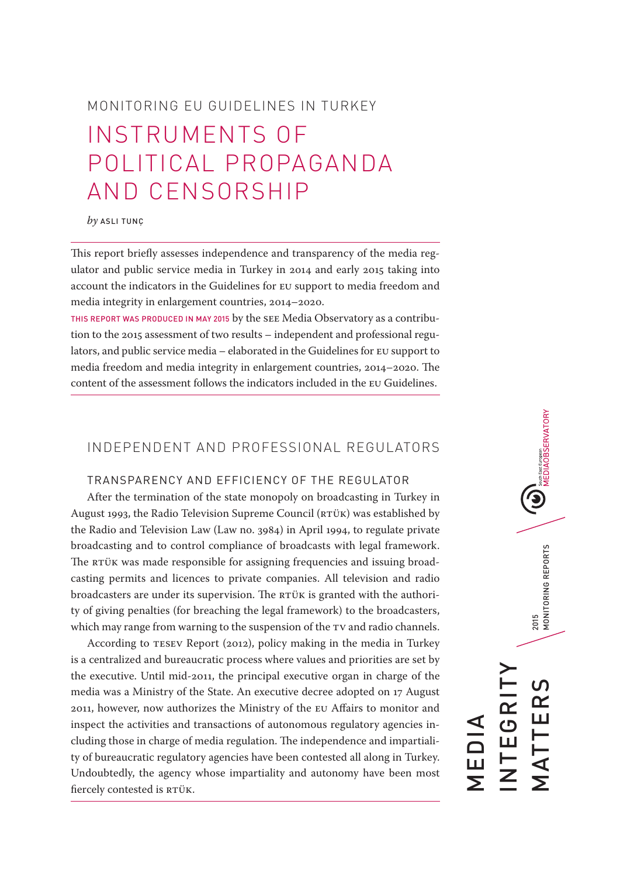# MONITORING EU GUIDELINES IN TURKEY INSTRUMENTS OF POLITICAL PROPAGANDA AND CENSORSHIP

#### *by* ASLI TUNÇ

This report briefly assesses independence and transparency of the media regulator and public service media in Turkey in 2014 and early 2015 taking into account the indicators in the Guidelines for EU support to media freedom and media integrity in enlargement countries, 2014–2020.

THIS REPORT WAS PRODUCED IN MAY 2015 by the SEE Media Observatory as a contribution to the 2015 assessment of two results – independent and professional regulators, and public service media – elaborated in the Guidelines for EU support to media freedom and media integrity in enlargement countries, 2014–2020. The content of the assessment follows the indicators included in the EU Guidelines.

## INDEPENDENT AND PROFESSIONAL REGULATORS

## TRANSPARENCY AND EFFICIENCY OF THE REGULATOR

After the termination of the state monopoly on broadcasting in Turkey in August 1993, the Radio Television Supreme Council (RTÜK) was established by the Radio and Television Law (Law no. 3984) in April 1994, to regulate private broadcasting and to control compliance of broadcasts with legal framework. The RTÜK was made responsible for assigning frequencies and issuing broadcasting permits and licences to private companies. All television and radio broadcasters are under its supervision. The RTÜK is granted with the authority of giving penalties (for breaching the legal framework) to the broadcasters, which may range from warning to the suspension of the TV and radio channels.

According to TESEV Report (2012), policy making in the media in Turkey is a centralized and bureaucratic process where values and priorities are set by the executive. Until mid-2011, the principal executive organ in charge of the media was a Ministry of the State. An executive decree adopted on 17 August 2011, however, now authorizes the Ministry of the EU Affairs to monitor and inspect the activities and transactions of autonomous regulatory agencies including those in charge of media regulation. The independence and impartiality of bureaucratic regulatory agencies have been contested all along in Turkey. Undoubtedly, the agency whose impartiality and autonomy have been most fiercely contested is RTÜK.

2015<br>MONITORING REPORTS MATTERS 2015 MONITORING REPORTS INTEGRITY **EGRI** MATTER MEDIA

**(U)**<br>MEDIAOBSERVATORY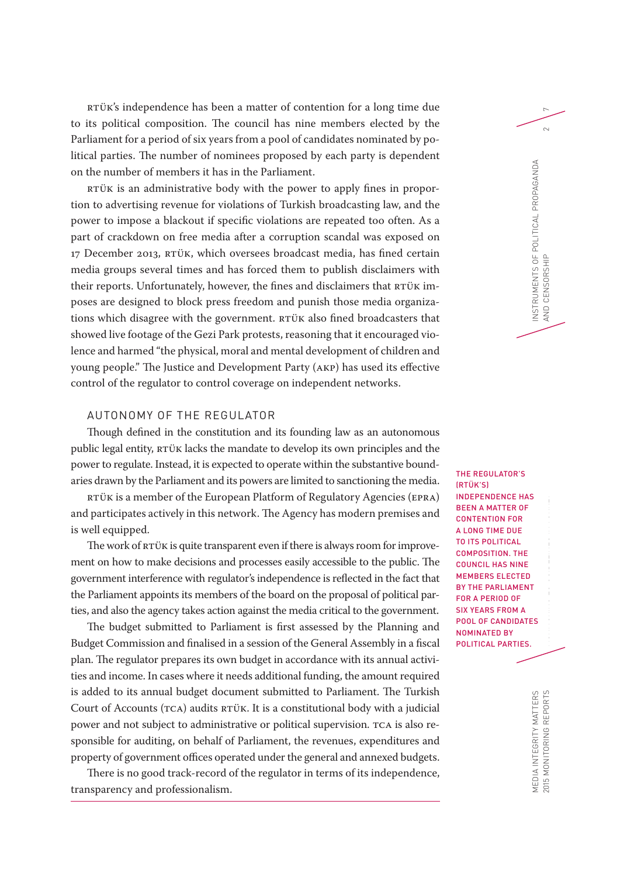RTÜK's independence has been a matter of contention for a long time due <sup>7</sup> to its political composition. The council has nine members elected by the Parliament for a period of six years from a pool of candidates nominated by political parties. The number of nominees proposed by each party is dependent on the number of members it has in the Parliament.

RTÜK is an administrative body with the power to apply fines in proportion to advertising revenue for violations of Turkish broadcasting law, and the power to impose a blackout if specific violations are repeated too often. As a part of crackdown on free media after a corruption scandal was exposed on 17 December 2013, RTÜK, which oversees broadcast media, has fined certain media groups several times and has forced them to publish disclaimers with their reports. Unfortunately, however, the fines and disclaimers that RTÜK imposes are designed to block press freedom and punish those media organizations which disagree with the government. RTÜK also fined broadcasters that showed live footage of the Gezi Park protests, reasoning that it encouraged violence and harmed "the physical, moral and mental development of children and young people." The Justice and Development Party (AKP) has used its effective control of the regulator to control coverage on independent networks.

## AUTONOMY OF THE REGULATOR

Though defined in the constitution and its founding law as an autonomous public legal entity, RTÜK lacks the mandate to develop its own principles and the power to regulate. Instead, it is expected to operate within the substantive boundaries drawn by the Parliament and its powers are limited to sanctioning the media.

RTÜK is a member of the European Platform of Regulatory Agencies (EPRA) and participates actively in this network. The Agency has modern premises and is well equipped.

The work of RTÜK is quite transparent even if there is always room for improvement on how to make decisions and processes easily accessible to the public. The government interference with regulator's independence is reflected in the fact that the Parliament appoints its members of the board on the proposal of political parties, and also the agency takes action against the media critical to the government.

The budget submitted to Parliament is first assessed by the Planning and Budget Commission and finalised in a session of the General Assembly in a fiscal plan. The regulator prepares its own budget in accordance with its annual activities and income. In cases where it needs additional funding, the amount required is added to its annual budget document submitted to Parliament. The Turkish Court of Accounts (TCA) audits RTÜK. It is a constitutional body with a judicial power and not subject to administrative or political supervision. TCA is also responsible for auditing, on behalf of Parliament, the revenues, expenditures and property of government offices operated under the general and annexed budgets.

There is no good track-record of the regulator in terms of its independence, transparency and professionalism.

(RTÜK'S) INDEPENDENCE HAS BEEN A MATTER OF CONTENTION FOR A LONG TIME DUE TO ITS POLITICAL COMPOSITION. THE COUNCIL HAS NINE MEMBERS ELECTED BY THE PARLIAMENT FOR A PERIOD OF SIX YEARS FROM A POOL OF CANDIDATES NOMINATED BY POLITICAL PARTIES.

THE REGULATOR'S

INSTRUMENTS OF POLITICAL PROPAGANDA AND CENSORSHIP 2

AND CENSORSHIP

NSTRUMENTS OF POLITICAL PROPAGANDA

 $\sim$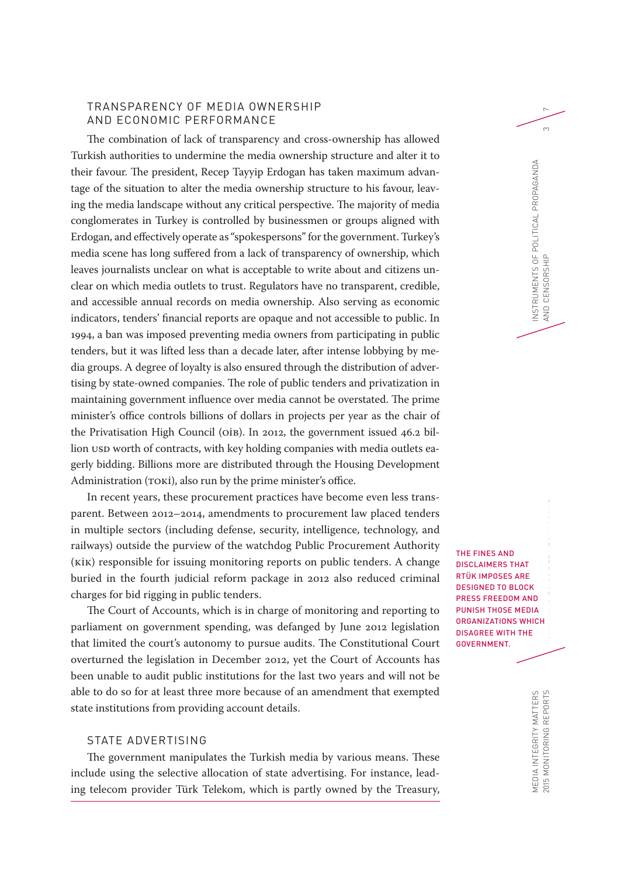## TRANSPARENCY OF MEDIA OWNERSHIP AND ECONOMIC PERFORMANCE

The combination of lack of transparency and cross-ownership has allowed Turkish authorities to undermine the media ownership structure and alter it to their favour. The president, Recep Tayyip Erdogan has taken maximum advantage of the situation to alter the media ownership structure to his favour, leaving the media landscape without any critical perspective. The majority of media conglomerates in Turkey is controlled by businessmen or groups aligned with Erdogan, and effectively operate as "spokespersons" for the government. Turkey's media scene has long suffered from a lack of transparency of ownership, which leaves journalists unclear on what is acceptable to write about and citizens unclear on which media outlets to trust. Regulators have no transparent, credible, and accessible annual records on media ownership. Also serving as economic indicators, tenders' financial reports are opaque and not accessible to public. In 1994, a ban was imposed preventing media owners from participating in public tenders, but it was lifted less than a decade later, after intense lobbying by media groups. A degree of loyalty is also ensured through the distribution of advertising by state-owned companies. The role of public tenders and privatization in maintaining government influence over media cannot be overstated. The prime minister's office controls billions of dollars in projects per year as the chair of the Privatisation High Council (OİB). In 2012, the government issued 46.2 billion USD worth of contracts, with key holding companies with media outlets eagerly bidding. Billions more are distributed through the Housing Development Administration (TOKİ), also run by the prime minister's office.

In recent years, these procurement practices have become even less transparent. Between 2012–2014, amendments to procurement law placed tenders in multiple sectors (including defense, security, intelligence, technology, and railways) outside the purview of the watchdog Public Procurement Authority (KİK) responsible for issuing monitoring reports on public tenders. A change buried in the fourth judicial reform package in 2012 also reduced criminal charges for bid rigging in public tenders.

The Court of Accounts, which is in charge of monitoring and reporting to parliament on government spending, was defanged by June 2012 legislation that limited the court's autonomy to pursue audits. The Constitutional Court overturned the legislation in December 2012, yet the Court of Accounts has been unable to audit public institutions for the last two years and will not be able to do so for at least three more because of an amendment that exempted state institutions from providing account details.

## STATE ADVERTISING

The government manipulates the Turkish media by various means. These include using the selective allocation of state advertising. For instance, leading telecom provider Türk Telekom, which is partly owned by the Treasury, THE FINES AND DISCLAIMERS THAT RTÜK IMPOSES ARE DESIGNED TO BLOCK PRESS FREEDOM AND PUNISH THOSE MEDIA ORGANIZATIONS WHICH DISAGREE WITH THE GOVERNMENT.

INSTRUMENTS OF POLITICAL PROPAGANDA AND CENSORSHIP 3

AND CENSORSHIP

NSTRUMENTS OF POLITICAL PROPAGANDA

 $\infty$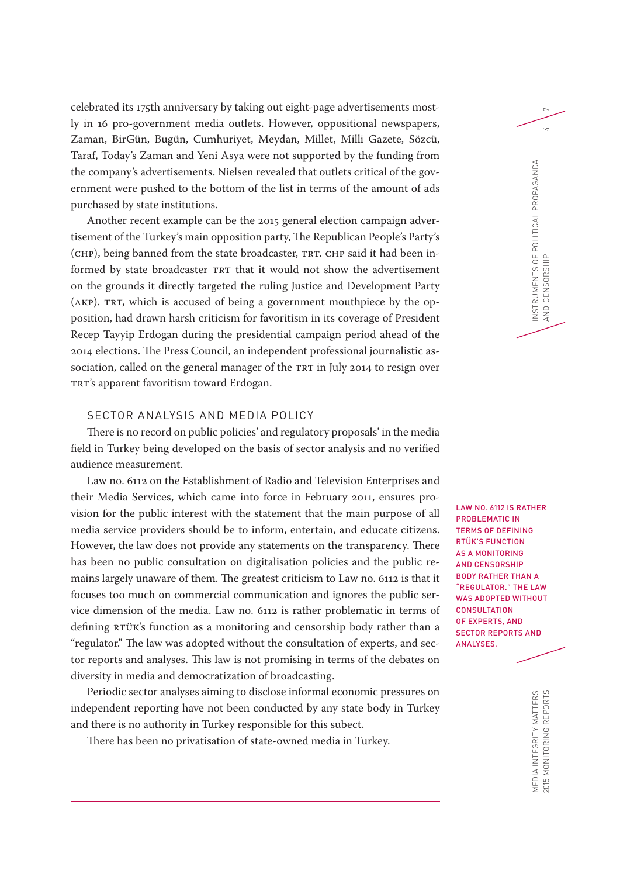celebrated its 175th anniversary by taking out eight-page advertisements most- <sup>7</sup> ly in 16 pro-government media outlets. However, oppositional newspapers, Zaman, BirGün, Bugün, Cumhuriyet, Meydan, Millet, Milli Gazete, Sözcü, Taraf, Today's Zaman and Yeni Asya were not supported by the funding from the company's advertisements. Nielsen revealed that outlets critical of the government were pushed to the bottom of the list in terms of the amount of ads purchased by state institutions.

Another recent example can be the 2015 general election campaign advertisement of the Turkey's main opposition party, The Republican People's Party's (CHP), being banned from the state broadcaster, TRT. CHP said it had been informed by state broadcaster TRT that it would not show the advertisement on the grounds it directly targeted the ruling Justice and Development Party (AKP). TRT, which is accused of being a government mouthpiece by the opposition, had drawn harsh criticism for favoritism in its coverage of President Recep Tayyip Erdogan during the presidential campaign period ahead of the 2014 elections. The Press Council, an independent professional journalistic association, called on the general manager of the TRT in July 2014 to resign over TRT's apparent favoritism toward Erdogan.

## SECTOR ANALYSIS AND MEDIA POLICY

There is no record on public policies' and regulatory proposals' in the media field in Turkey being developed on the basis of sector analysis and no verified audience measurement.

Law no. 6112 on the Establishment of Radio and Television Enterprises and their Media Services, which came into force in February 2011, ensures provision for the public interest with the statement that the main purpose of all media service providers should be to inform, entertain, and educate citizens. However, the law does not provide any statements on the transparency. There has been no public consultation on digitalisation policies and the public remains largely unaware of them. The greatest criticism to Law no. 6112 is that it focuses too much on commercial communication and ignores the public service dimension of the media. Law no. 6112 is rather problematic in terms of defining RTÜK's function as a monitoring and censorship body rather than a "regulator." The law was adopted without the consultation of experts, and sector reports and analyses. This law is not promising in terms of the debates on diversity in media and democratization of broadcasting.

Periodic sector analyses aiming to disclose informal economic pressures on independent reporting have not been conducted by any state body in Turkey and there is no authority in Turkey responsible for this subect.

There has been no privatisation of state-owned media in Turkey.

2015 MONITORING REPORTS  $\blacksquare$ LAW NO. 6112 IS RATHER PROBLEMATIC IN TERMS OF DEFINING RTÜK'S FUNCTION AS A MONITORING AND CENSORSHIP BODY RATHER THAN A "REGULATOR." THE LAW WAS ADOPTED WITHOUT **CONSULTATION** OF EXPERTS, AND SECTOR REPORTS AND ANALYSES.

INSTRUMENTS OF POLITICAL PROPAGANDA AND CENSORSHIP 4

AND CENSORSHIP

NSTRUMENTS OF POLITICAL PROPAGANDA

 $\overline{4}$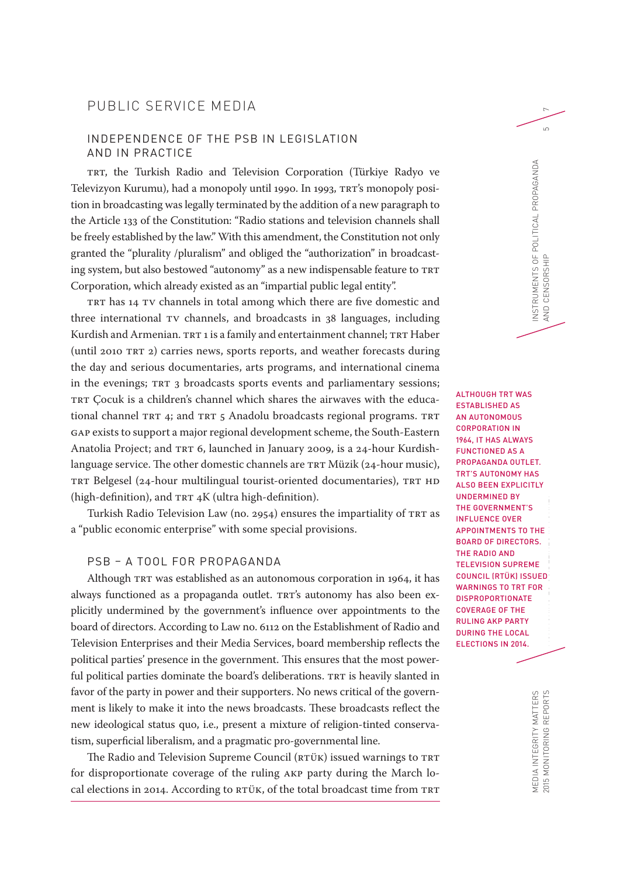## PUBLIC SERVICE MEDIA

## INDEPENDENCE OF THE PSB IN LEGISLATION AND IN PRACTICE

TRT, the Turkish Radio and Television Corporation (Türkiye Radyo ve Televizyon Kurumu), had a monopoly until 1990. In 1993, TRT's monopoly position in broadcasting was legally terminated by the addition of a new paragraph to the Article 133 of the Constitution: "Radio stations and television channels shall be freely established by the law." With this amendment, the Constitution not only granted the "plurality /pluralism" and obliged the "authorization" in broadcasting system, but also bestowed "autonomy" as a new indispensable feature to TRT Corporation, which already existed as an "impartial public legal entity".

TRT has 14 TV channels in total among which there are five domestic and three international TV channels, and broadcasts in 38 languages, including Kurdish and Armenian. TRT 1 is a family and entertainment channel; TRT Haber (until 2010 TRT 2) carries news, sports reports, and weather forecasts during the day and serious documentaries, arts programs, and international cinema in the evenings; TRT 3 broadcasts sports events and parliamentary sessions; TRT Çocuk is a children's channel which shares the airwaves with the educational channel TRT 4; and TRT 5 Anadolu broadcasts regional programs. TRT GAP exists to support a major regional development scheme, the South-Eastern Anatolia Project; and TRT 6, launched in January 2009, is a 24-hour Kurdishlanguage service. The other domestic channels are TRT Müzik (24-hour music), TRT Belgesel (24-hour multilingual tourist-oriented documentaries), TRT HD (high-definition), and TRT 4K (ultra high-definition).

Turkish Radio Television Law (no. 2954) ensures the impartiality of TRT as a "public economic enterprise" with some special provisions.

### PSB – A TOOL FOR PROPAGANDA

Although TRT was established as an autonomous corporation in 1964, it has always functioned as a propaganda outlet. TRT's autonomy has also been explicitly undermined by the government's influence over appointments to the board of directors. According to Law no. 6112 on the Establishment of Radio and Television Enterprises and their Media Services, board membership reflects the political parties' presence in the government. This ensures that the most powerful political parties dominate the board's deliberations. TRT is heavily slanted in favor of the party in power and their supporters. No news critical of the government is likely to make it into the news broadcasts. These broadcasts reflect the new ideological status quo, i.e., present a mixture of religion-tinted conservatism, superficial liberalism, and a pragmatic pro-governmental line.

The Radio and Television Supreme Council (RTÜK) issued warnings to TRT for disproportionate coverage of the ruling AKP party during the March local elections in 2014. According to RTÜK, of the total broadcast time from TRT

2015 MONITORING REPORTS  $\blacksquare$ ALTHOUGH TRT WAS ESTABLISHED AS AN AUTONOMOUS CORPORATION IN 1964, IT HAS ALWAYS FUNCTIONED AS A PROPAGANDA OUTLET. TRT'S AUTONOMY HAS ALSO BEEN EXPLICITLY UNDERMINED BY THE GOVERNMENT'S INFLUENCE OVER APPOINTMENTS TO THE BOARD OF DIRECTORS. THE RADIO AND TELEVISION SUPREME COUNCIL (RTÜK) ISSUED WARNINGS TO TRT FOR DISPROPORTIONATE COVERAGE OF THE RULING AKP PARTY DURING THE LOCAL ELECTIONS IN 2014.

INSTRUMENTS OF POLITICAL PROPAGANDA AND CENSORSHIP 5

AND CENSORSHIP

NSTRUMENTS OF POLITICAL PROPAGANDA

 $\overline{a}$ 

MEDIA INTEGRITY MATTERS<br>2015 MONITORING REPORTS MEDIA INTEGRITY MATTERS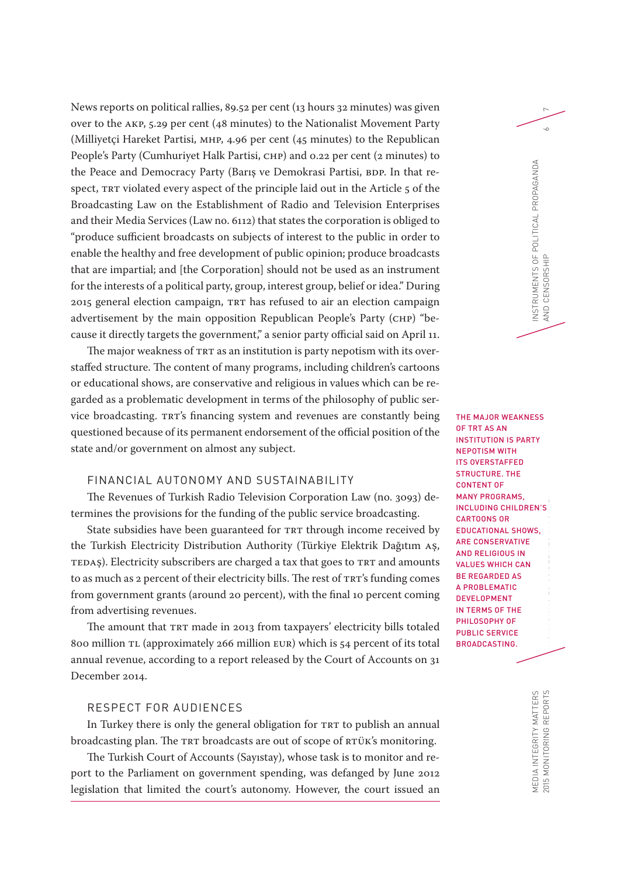News reports on political rallies, 89.52 per cent (13 hours 32 minutes) was given <sup>7</sup> over to the AKP, 5.29 per cent (48 minutes) to the Nationalist Movement Party (Milliyetçi Hareket Partisi, MHP, 4.96 per cent (45 minutes) to the Republican People's Party (Cumhuriyet Halk Partisi, CHP) and 0.22 per cent (2 minutes) to the Peace and Democracy Party (Barış ve Demokrasi Partisi, BDP. In that respect, TRT violated every aspect of the principle laid out in the Article 5 of the Broadcasting Law on the Establishment of Radio and Television Enterprises and their Media Services (Law no. 6112) that states the corporation is obliged to "produce sufficient broadcasts on subjects of interest to the public in order to enable the healthy and free development of public opinion; produce broadcasts that are impartial; and [the Corporation] should not be used as an instrument for the interests of a political party, group, interest group, belief or idea." During 2015 general election campaign, TRT has refused to air an election campaign advertisement by the main opposition Republican People's Party (CHP) "because it directly targets the government," a senior party official said on April 11.

The major weakness of TRT as an institution is party nepotism with its overstaffed structure. The content of many programs, including children's cartoons or educational shows, are conservative and religious in values which can be regarded as a problematic development in terms of the philosophy of public service broadcasting. TRT's financing system and revenues are constantly being questioned because of its permanent endorsement of the official position of the state and/or government on almost any subject.

## FINANCIAL AUTONOMY AND SUSTAINABILITY

The Revenues of Turkish Radio Television Corporation Law (no. 3093) determines the provisions for the funding of the public service broadcasting.

State subsidies have been guaranteed for TRT through income received by the Turkish Electricity Distribution Authority (Türkiye Elektrik Dağıtım AŞ, TEDAŞ). Electricity subscribers are charged a tax that goes to TRT and amounts to as much as 2 percent of their electricity bills. The rest of TRT's funding comes from government grants (around 20 percent), with the final 10 percent coming from advertising revenues.

The amount that TRT made in 2013 from taxpayers' electricity bills totaled 800 million TL (approximately 266 million EUR) which is 54 percent of its total annual revenue, according to a report released by the Court of Accounts on 31 December 2014.

## RESPECT FOR AUDIENCES

In Turkey there is only the general obligation for TRT to publish an annual broadcasting plan. The TRT broadcasts are out of scope of RTÜK's monitoring.

The Turkish Court of Accounts (Sayıstay), whose task is to monitor and report to the Parliament on government spending, was defanged by June 2012 legislation that limited the court's autonomy. However, the court issued an

2015 MONITORING REPORTS  $\blacksquare$ THE MAJOR WEAKNESS OF TRT AS AN INSTITUTION IS PARTY NEPOTISM WITH ITS OVERSTAFFED STRUCTURE. THE CONTENT OF MANY PROGRAMS, INCLUDING CHILDREN'S CARTOONS OR EDUCATIONAL SHOWS, ARE CONSERVATIVE AND RELIGIOUS IN VALUES WHICH CAN BE REGARDED AS A PROBLEMATIC DEVELOPMENT IN TERMS OF THE PHILOSOPHY OF PUBLIC SERVICE BROADCASTING.

INSTRUMENTS OF POLITICAL PROPAGANDA AND CENSORSHIP 6

AND CENSORSHIP

NSTRUMENTS OF POLITICAL PROPAGANDA

 $\sim$